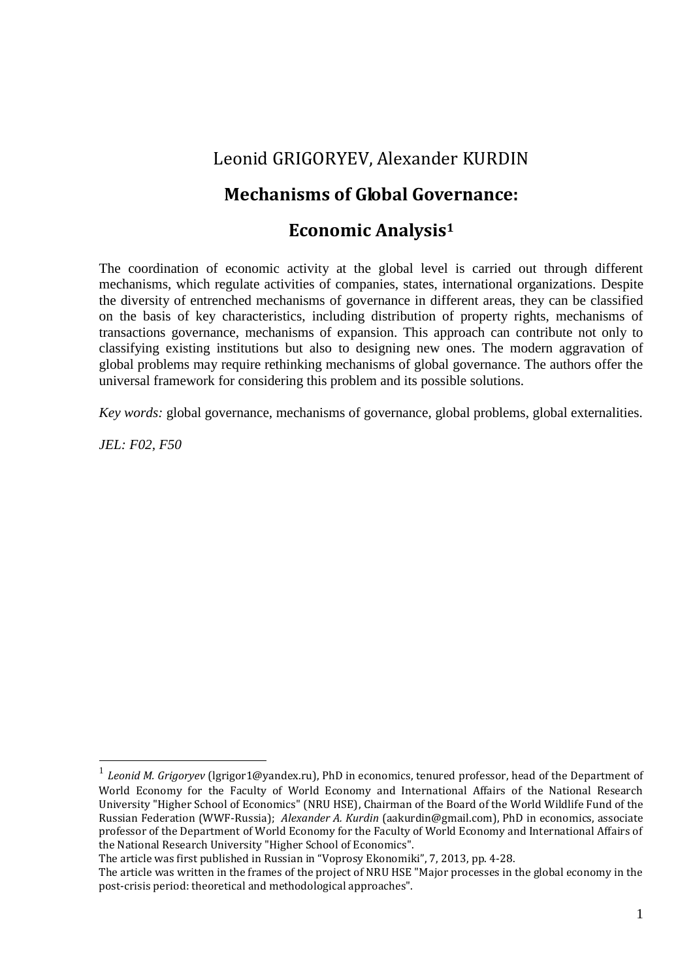## Leonid GRIGORYEV, Alexander KURDIN

### **Mechanisms of Global Governance:**

#### **Economic Analysis<sup>1</sup>**

The coordination of economic activity at the global level is carried out through different mechanisms, which regulate activities of companies, states, international organizations. Despite the diversity of entrenched mechanisms of governance in different areas, they can be classified on the basis of key characteristics, including distribution of property rights, mechanisms of transactions governance, mechanisms of expansion. This approach can contribute not only to classifying existing institutions but also to designing new ones. The modern aggravation of global problems may require rethinking mechanisms of global governance. The authors offer the universal framework for considering this problem and its possible solutions.

*Key words:* global governance, mechanisms of governance, global problems, global externalities.

*JEL: F02, F50* 

<sup>1</sup> *Leonid M. Grigoryev* (lgrigor1@yandex.ru), PhD in economics, tenured professor, head of the Department of World Economy for the Faculty of World Economy and International Affairs of the National Research University "Higher School of Economics" (NRU HSE), Chairman of the Board of the World Wildlife Fund of the Russian Federation (WWF-Russia); *Alexander A. Kurdin* (aakurdin@gmail.com), PhD in economics, associate professor of the Department of World Economy for the Faculty of World Economy and International Affairs of the National Research University "Higher School of Economics".

The article was first published in Russian in "Voprosy Ekonomiki", 7, 2013, pp. 4-28.

The article was written in the frames of the project of NRU HSE "Major processes in the global economy in the post-crisis period: theoretical and methodological approaches".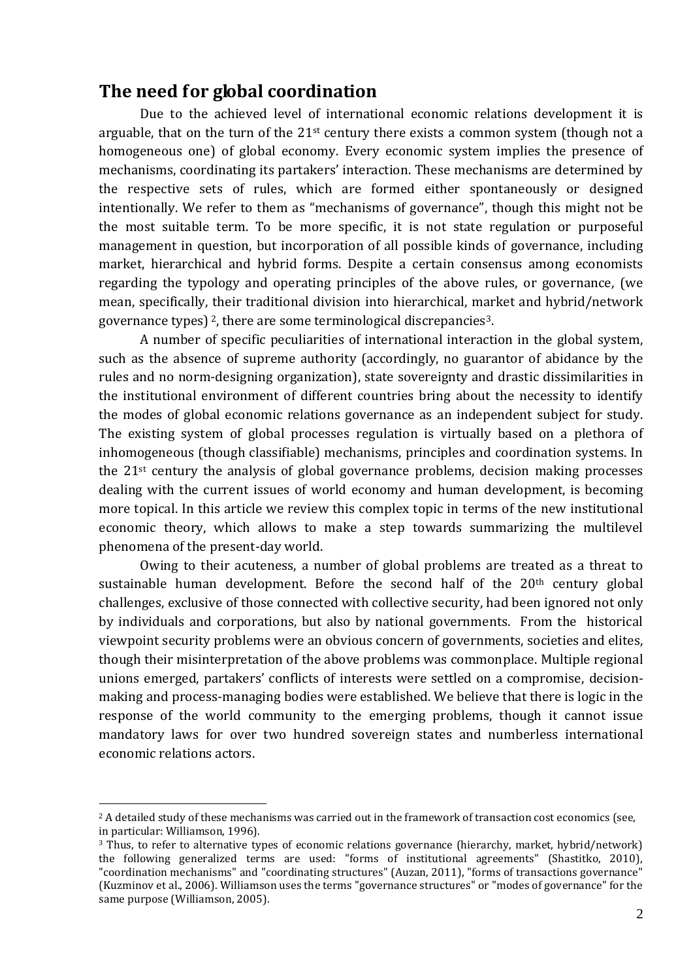#### **The need for global coordination**

Due to the achieved level of international economic relations development it is arguable, that on the turn of the  $21^{st}$  century there exists a common system (though not a homogeneous one) of global economy. Every economic system implies the presence of mechanisms, coordinating its partakers' interaction. These mechanisms are determined by the respective sets of rules, which are formed either spontaneously or designed intentionally. We refer to them as "mechanisms of governance", though this might not be the most suitable term. To be more specific, it is not state regulation or purposeful management in question, but incorporation of all possible kinds of governance, including market, hierarchical and hybrid forms. Despite a certain consensus among economists regarding the typology and operating principles of the above rules, or governance, (we mean, specifically, their traditional division into hierarchical, market and hybrid/network governance types) <sup>2</sup>, there are some terminological discrepancies3.

A number of specific peculiarities of international interaction in the global system, such as the absence of supreme authority (accordingly, no guarantor of abidance by the rules and no norm-designing organization), state sovereignty and drastic dissimilarities in the institutional environment of different countries bring about the necessity to identify the modes of global economic relations governance as an independent subject for study. The existing system of global processes regulation is virtually based on a plethora of inhomogeneous (though classifiable) mechanisms, principles and coordination systems. In the 21st century the analysis of global governance problems, decision making processes dealing with the current issues of world economy and human development, is becoming more topical. In this article we review this complex topic in terms of the new institutional economic theory, which allows to make a step towards summarizing the multilevel phenomena of the present-day world.

Owing to their acuteness, a number of global problems are treated as a threat to sustainable human development. Before the second half of the 20<sup>th</sup> century global challenges, exclusive of those connected with collective security, had been ignored not only by individuals and corporations, but also by national governments. From the historical viewpoint security problems were an obvious concern of governments, societies and elites, though their misinterpretation of the above problems was commonplace. Multiple regional unions emerged, partakers' conflicts of interests were settled on a compromise, decisionmaking and process-managing bodies were established. We believe that there is logic in the response of the world community to the emerging problems, though it cannot issue mandatory laws for over two hundred sovereign states and numberless international economic relations actors.

<sup>&</sup>lt;sup>2</sup> A detailed study of these mechanisms was carried out in the framework of transaction cost economics (see, in particular: Williamson, 1996).

<sup>3</sup> Thus, to refer to alternative types of economic relations governance (hierarchy, market, hybrid/network) the following generalized terms are used: "forms of institutional agreements" (Shastitko, 2010), "coordination mechanisms" and "coordinating structures" (Auzan, 2011), "forms of transactions governance" (Kuzminov et al., 2006). Williamson uses the terms "governance structures" or "modes of governance" for the same purpose (Williamson, 2005).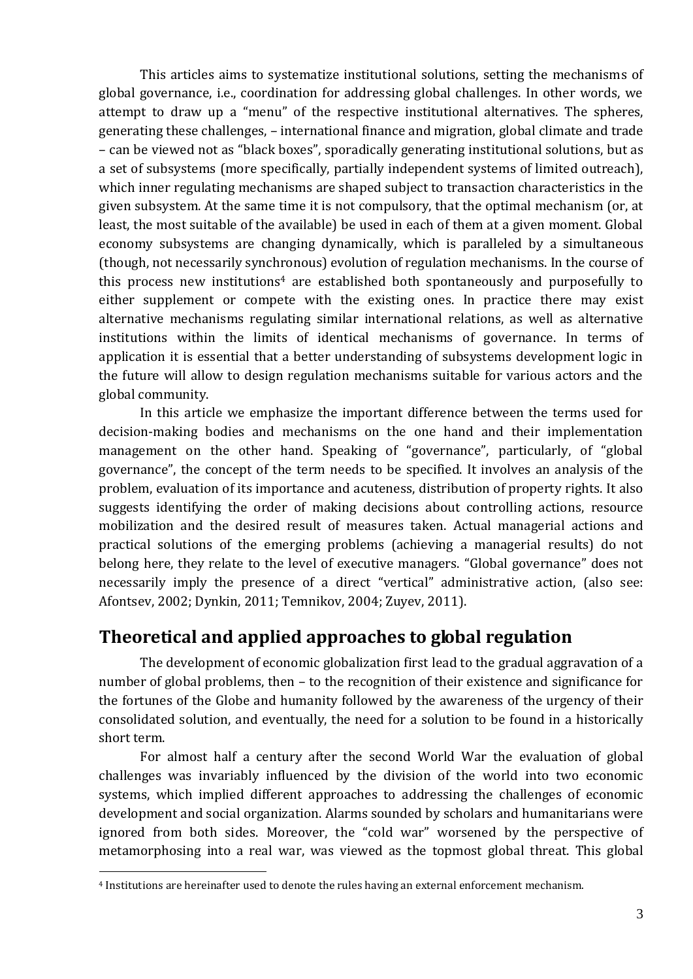This articles aims to systematize institutional solutions, setting the mechanisms of global governance, i.e., coordination for addressing global challenges. In other words, we attempt to draw up a "menu" of the respective institutional alternatives. The spheres, generating these challenges, – international finance and migration, global climate and trade – can be viewed not as "black boxes", sporadically generating institutional solutions, but as a set of subsystems (more specifically, partially independent systems of limited outreach), which inner regulating mechanisms are shaped subject to transaction characteristics in the given subsystem. At the same time it is not compulsory, that the optimal mechanism (or, at least, the most suitable of the available) be used in each of them at a given moment. Global economy subsystems are changing dynamically, which is paralleled by a simultaneous (though, not necessarily synchronous) evolution of regulation mechanisms. In the course of this process new institutions<sup>4</sup> are established both spontaneously and purposefully to either supplement or compete with the existing ones. In practice there may exist alternative mechanisms regulating similar international relations, as well as alternative institutions within the limits of identical mechanisms of governance. In terms of application it is essential that a better understanding of subsystems development logic in the future will allow to design regulation mechanisms suitable for various actors and the global community.

In this article we emphasize the important difference between the terms used for decision-making bodies and mechanisms on the one hand and their implementation management on the other hand. Speaking of "governance", particularly, of "global governance", the concept of the term needs to be specified. It involves an analysis of the problem, evaluation of its importance and acuteness, distribution of property rights. It also suggests identifying the order of making decisions about controlling actions, resource mobilization and the desired result of measures taken. Actual managerial actions and practical solutions of the emerging problems (achieving a managerial results) do not belong here, they relate to the level of executive managers. "Global governance" does not necessarily imply the presence of a direct "vertical" administrative action, (also see: Afontsev, 2002; Dynkin, 2011; Temnikov, 2004; Zuyev, 2011).

## **Theoretical and applied approaches to global regulation**

The development of economic globalization first lead to the gradual aggravation of a number of global problems, then – to the recognition of their existence and significance for the fortunes of the Globe and humanity followed by the awareness of the urgency of their consolidated solution, and eventually, the need for a solution to be found in a historically short term.

For almost half a century after the second World War the evaluation of global challenges was invariably influenced by the division of the world into two economic systems, which implied different approaches to addressing the challenges of economic development and social organization. Alarms sounded by scholars and humanitarians were ignored from both sides. Moreover, the "cold war" worsened by the perspective of metamorphosing into a real war, was viewed as the topmost global threat. This global

<sup>4</sup> Institutions are hereinafter used to denote the rules having an external enforcement mechanism.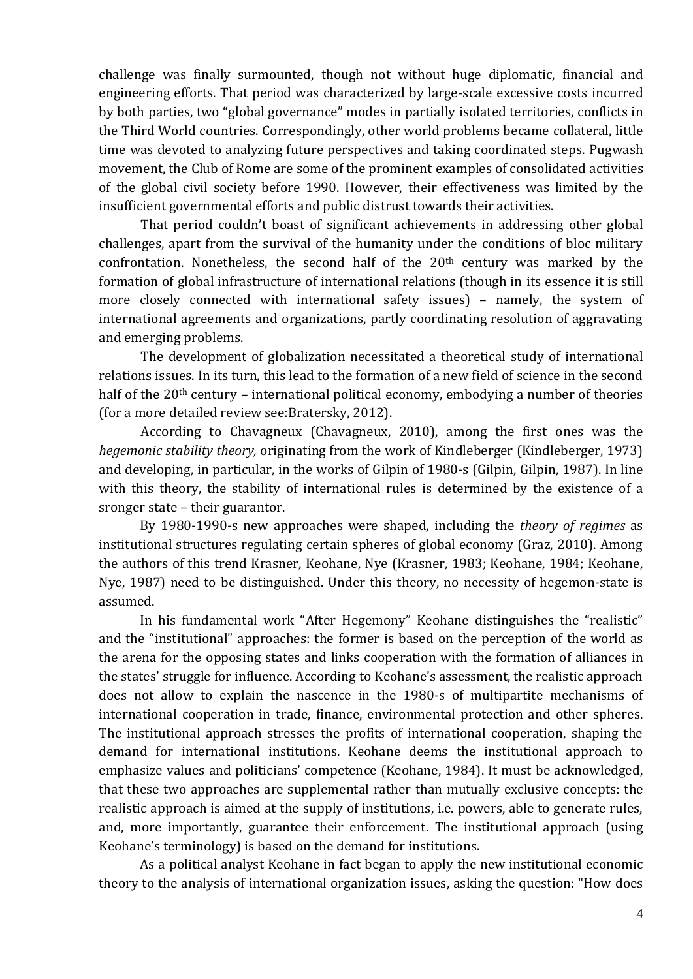challenge was finally surmounted, though not without huge diplomatic, financial and engineering efforts. That period was characterized by large-scale excessive costs incurred by both parties, two "global governance" modes in partially isolated territories, conflicts in the Third World countries. Correspondingly, other world problems became collateral, little time was devoted to analyzing future perspectives and taking coordinated steps. Pugwash movement, the Club of Rome are some of the prominent examples of consolidated activities of the global civil society before 1990. However, their effectiveness was limited by the insufficient governmental efforts and public distrust towards their activities.

That period couldn't boast of significant achievements in addressing other global challenges, apart from the survival of the humanity under the conditions of bloc military confrontation. Nonetheless, the second half of the 20th century was marked by the formation of global infrastructure of international relations (though in its essence it is still more closely connected with international safety issues) – namely, the system of international agreements and organizations, partly coordinating resolution of aggravating and emerging problems.

The development of globalization necessitated a theoretical study of international relations issues. In its turn, this lead to the formation of a new field of science in the second half of the 20<sup>th</sup> century – international political economy, embodying a number of theories (for a more detailed review see:Bratersky, 2012).

According to Chavagneux (Chavagneux, 2010), among the first ones was the *hegemonic stability theory,* originating from the work of Kindleberger (Kindleberger, 1973) and developing, in particular, in the works of Gilpin of 1980-s (Gilpin, Gilpin, 1987). In line with this theory, the stability of international rules is determined by the existence of a sronger state – their guarantor.

By 1980-1990-s new approaches were shaped, including the *theory of regimes* as institutional structures regulating certain spheres of global economy (Graz, 2010). Among the authors of this trend Krasner, Keohane, Nye (Krasner, 1983; Keohane, 1984; Keohane, Nye, 1987) need to be distinguished. Under this theory, no necessity of hegemon-state is assumed.

In his fundamental work "After Hegemony" Keohane distinguishes the "realistic" and the "institutional" approaches: the former is based on the perception of the world as the arena for the opposing states and links cooperation with the formation of alliances in the states' struggle for influence. According to Keohane's assessment, the realistic approach does not allow to explain the nascence in the 1980-s of multipartite mechanisms of international cooperation in trade, finance, environmental protection and other spheres. The institutional approach stresses the profits of international cooperation, shaping the demand for international institutions. Keohane deems the institutional approach to emphasize values and politicians' competence (Keohane, 1984). It must be acknowledged, that these two approaches are supplemental rather than mutually exclusive concepts: the realistic approach is aimed at the supply of institutions, i.e. powers, able to generate rules, and, more importantly, guarantee their enforcement. The institutional approach (using Keohane's terminology) is based on the demand for institutions.

As a political analyst Keohane in fact began to apply the new institutional economic theory to the analysis of international organization issues, asking the question: "How does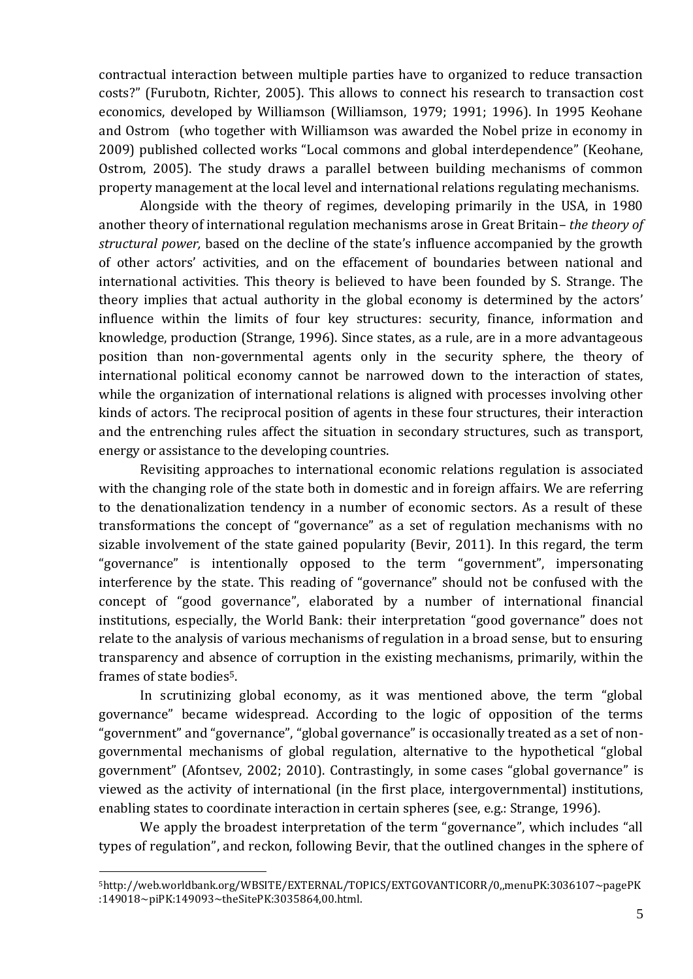contractual interaction between multiple parties have to organized to reduce transaction costs?" (Furubotn, Richter, 2005). This allows to connect his research to transaction cost economics, developed by Williamson (Williamson, 1979; 1991; 1996). In 1995 Keohane and Ostrom (who together with Williamson was awarded the Nobel prize in economy in 2009) published collected works "Local commons and global interdependence" (Keohane, Ostrom, 2005). The study draws a parallel between building mechanisms of common property management at the local level and international relations regulating mechanisms.

Alongside with the theory of regimes, developing primarily in the USA, in 1980 another theory of international regulation mechanisms arose in Great Britain– *the theory of structural power,* based on the decline of the state's influence accompanied by the growth of other actors' activities, and on the effacement of boundaries between national and international activities. This theory is believed to have been founded by S. Strange. The theory implies that actual authority in the global economy is determined by the actors' influence within the limits of four key structures: security, finance, information and knowledge, production (Strange, 1996). Since states, as a rule, are in a more advantageous position than non-governmental agents only in the security sphere, the theory of international political economy cannot be narrowed down to the interaction of states, while the organization of international relations is aligned with processes involving other kinds of actors. The reciprocal position of agents in these four structures, their interaction and the entrenching rules affect the situation in secondary structures, such as transport, energy or assistance to the developing countries.

Revisiting approaches to international economic relations regulation is associated with the changing role of the state both in domestic and in foreign affairs. We are referring to the denationalization tendency in a number of economic sectors. As a result of these transformations the concept of "governance" as a set of regulation mechanisms with no sizable involvement of the state gained popularity (Bevir, 2011). In this regard, the term "governance" is intentionally opposed to the term "government", impersonating interference by the state. This reading of "governance" should not be confused with the concept of "good governance", elaborated by a number of international financial institutions, especially, the World Bank: their interpretation "good governance" does not relate to the analysis of various mechanisms of regulation in a broad sense, but to ensuring transparency and absence of corruption in the existing mechanisms, primarily, within the frames of state bodies5.

In scrutinizing global economy, as it was mentioned above, the term "global governance" became widespread. According to the logic of opposition of the terms "government" and "governance", "global governance" is occasionally treated as a set of nongovernmental mechanisms of global regulation, alternative to the hypothetical "global government" (Afontsev, 2002; 2010). Contrastingly, in some cases "global governance" is viewed as the activity of international (in the first place, intergovernmental) institutions, enabling states to coordinate interaction in certain spheres (see, e.g.: Strange, 1996).

We apply the broadest interpretation of the term "governance", which includes "all types of regulation", and reckon, following Bevir, that the outlined changes in the sphere of

<sup>5</sup>http://web.worldbank.org/WBSITE/EXTERNAL/TOPICS/EXTGOVANTICORR/0,,menuPK:3036107~pagePK :149018~piPK:149093~theSitePK:3035864,00.html.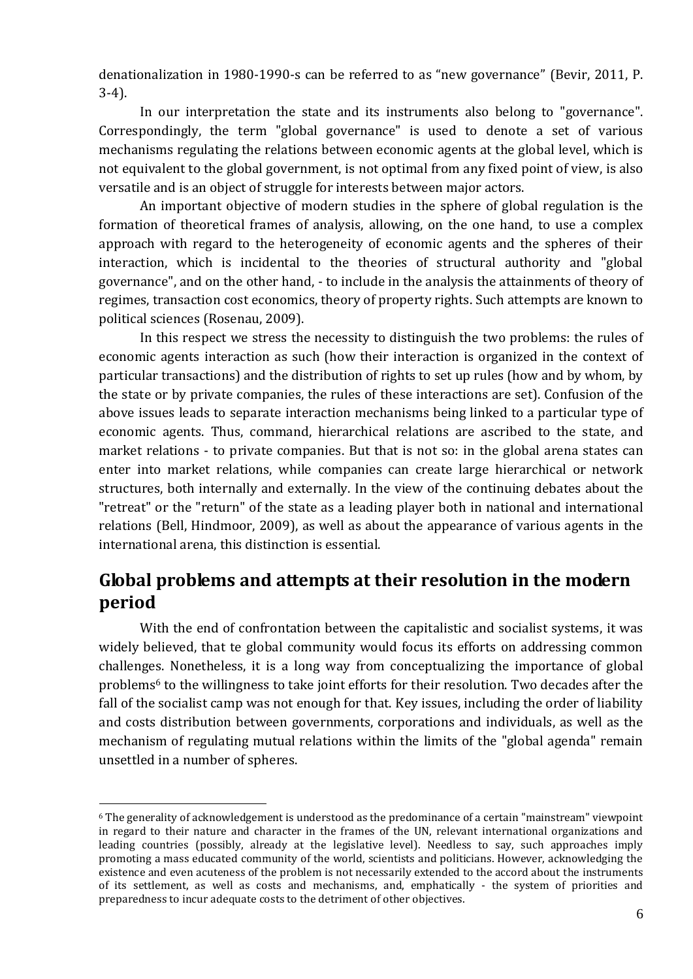denationalization in 1980-1990-s can be referred to as "new governance" (Bevir, 2011, P. 3-4).

In our interpretation the state and its instruments also belong to "governance". Correspondingly, the term "global governance" is used to denote a set of various mechanisms regulating the relations between economic agents at the global level, which is not equivalent to the global government, is not optimal from any fixed point of view, is also versatile and is an object of struggle for interests between major actors.

An important objective of modern studies in the sphere of global regulation is the formation of theoretical frames of analysis, allowing, on the one hand, to use a complex approach with regard to the heterogeneity of economic agents and the spheres of their interaction, which is incidental to the theories of structural authority and "global governance", and on the other hand, - to include in the analysis the attainments of theory of regimes, transaction cost economics, theory of property rights. Such attempts are known to political sciences (Rosenau, 2009).

In this respect we stress the necessity to distinguish the two problems: the rules of economic agents interaction as such (how their interaction is organized in the context of particular transactions) and the distribution of rights to set up rules (how and by whom, by the state or by private companies, the rules of these interactions are set). Confusion of the above issues leads to separate interaction mechanisms being linked to a particular type of economic agents. Thus, command, hierarchical relations are ascribed to the state, and market relations - to private companies. But that is not so: in the global arena states can enter into market relations, while companies can create large hierarchical or network structures, both internally and externally. In the view of the continuing debates about the "retreat" or the "return" of the state as a leading player both in national and international relations (Bell, Hindmoor, 2009), as well as about the appearance of various agents in the international arena, this distinction is essential.

## **Global problems and attempts at their resolution in the modern period**

With the end of confrontation between the capitalistic and socialist systems, it was widely believed, that te global community would focus its efforts on addressing common challenges. Nonetheless, it is a long way from conceptualizing the importance of global problems<sup>6</sup> to the willingness to take joint efforts for their resolution. Two decades after the fall of the socialist camp was not enough for that. Key issues, including the order of liability and costs distribution between governments, corporations and individuals, as well as the mechanism of regulating mutual relations within the limits of the "global agenda" remain unsettled in a number of spheres.

<sup>6</sup> The generality of acknowledgement is understood as the predominance of a certain "mainstream" viewpoint in regard to their nature and character in the frames of the UN, relevant international organizations and leading countries (possibly, already at the legislative level). Needless to say, such approaches imply promoting a mass educated community of the world, scientists and politicians. However, acknowledging the existence and even acuteness of the problem is not necessarily extended to the accord about the instruments of its settlement, as well as costs and mechanisms, and, emphatically - the system of priorities and preparedness to incur adequate costs to the detriment of other objectives.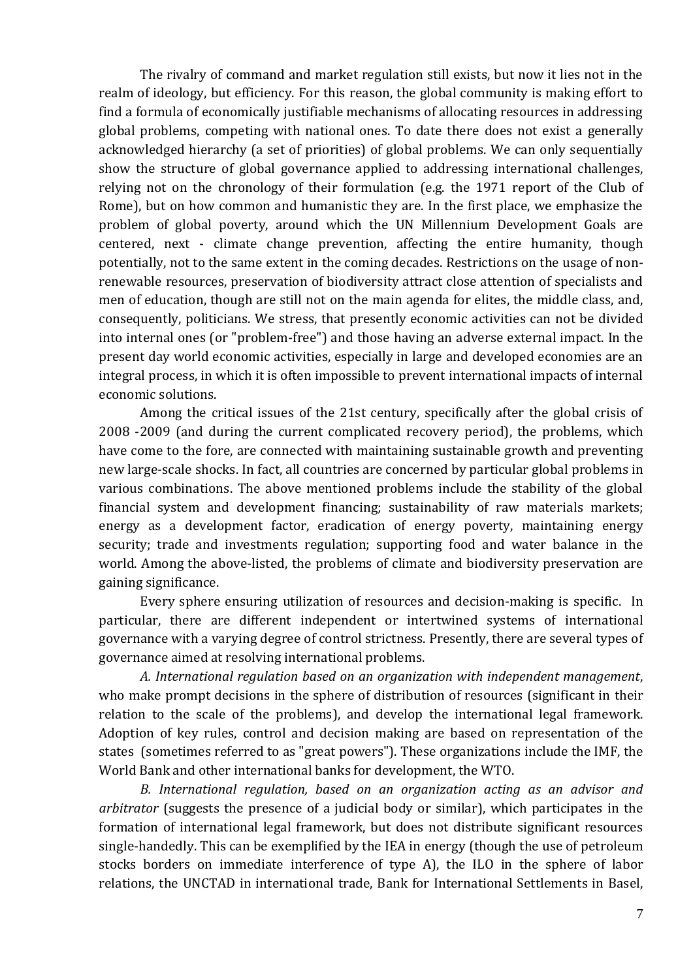The rivalry of command and market regulation still exists, but now it lies not in the realm of ideology, but efficiency. For this reason, the global community is making effort to find a formula of economically justifiable mechanisms of allocating resources in addressing global problems, competing with national ones. To date there does not exist a generally acknowledged hierarchy (a set of priorities) of global problems. We can only sequentially show the structure of global governance applied to addressing international challenges, relying not on the chronology of their formulation (e.g. the 1971 report of the Club of Rome), but on how common and humanistic they are. In the first place, we emphasize the problem of global poverty, around which the UN Millennium Development Goals are centered, next - climate change prevention, affecting the entire humanity, though potentially, not to the same extent in the coming decades. Restrictions on the usage of nonrenewable resources, preservation of biodiversity attract close attention of specialists and men of education, though are still not on the main agenda for elites, the middle class, and, consequently, politicians. We stress, that presently economic activities can not be divided into internal ones (or "problem-free") and those having an adverse external impact. In the present day world economic activities, especially in large and developed economies are an integral process, in which it is often impossible to prevent international impacts of internal economic solutions.

Among the critical issues of the 21st century, specifically after the global crisis of 2008 -2009 (and during the current complicated recovery period), the problems, which have come to the fore, are connected with maintaining sustainable growth and preventing new large-scale shocks. In fact, all countries are concerned by particular global problems in various combinations. The above mentioned problems include the stability of the global financial system and development financing; sustainability of raw materials markets; energy as a development factor, eradication of energy poverty, maintaining energy security; trade and investments regulation; supporting food and water balance in the world. Among the above-listed, the problems of climate and biodiversity preservation are gaining significance.

Every sphere ensuring utilization of resources and decision-making is specific. In particular, there are different independent or intertwined systems of international governance with a varying degree of control strictness. Presently, there are several types of governance aimed at resolving international problems.

*A. International regulation based on an organization with independent management*, who make prompt decisions in the sphere of distribution of resources (significant in their relation to the scale of the problems), and develop the international legal framework. Adoption of key rules, control and decision making are based on representation of the states (sometimes referred to as "great powers"). These organizations include the IMF, the World Bank and other international banks for development, the WTO.

*B. International regulation, based on an organization acting as an advisor and arbitrator* (suggests the presence of a judicial body or similar), which participates in the formation of international legal framework, but does not distribute significant resources single-handedly. This can be exemplified by the IEA in energy (though the use of petroleum stocks borders on immediate interference of type A), the ILO in the sphere of labor relations, the UNCTAD in international trade, Bank for International Settlements in Basel,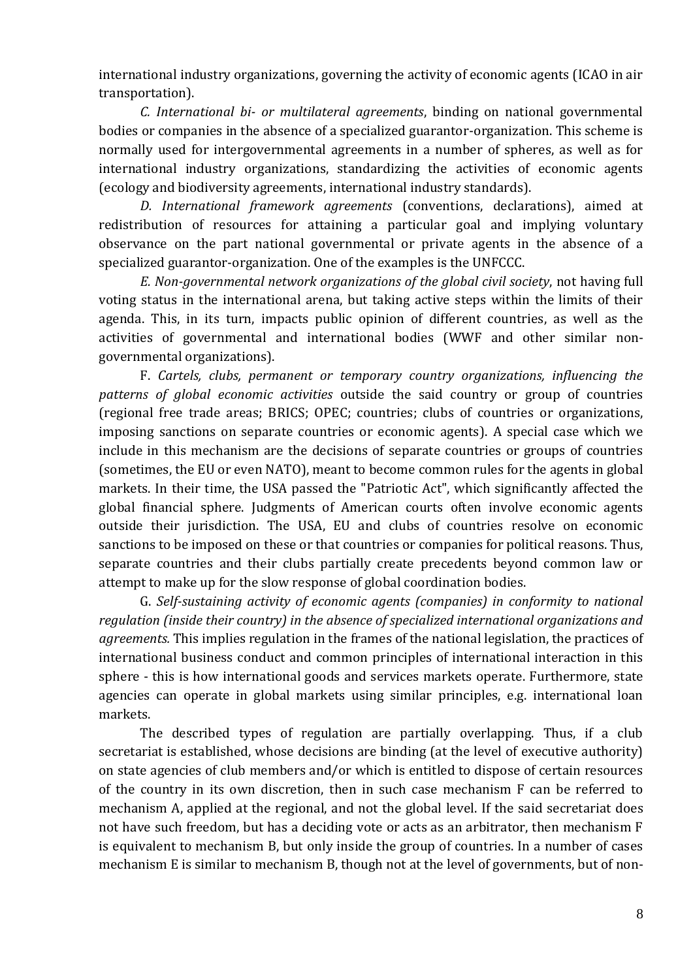international industry organizations, governing the activity of economic agents (ICAO in air transportation).

*C. International bi- or multilateral agreements*, binding on national governmental bodies or companies in the absence of a specialized guarantor-organization. This scheme is normally used for intergovernmental agreements in a number of spheres, as well as for international industry organizations, standardizing the activities of economic agents (ecology and biodiversity agreements, international industry standards).

*D. International framework agreements* (conventions, declarations), aimed at redistribution of resources for attaining a particular goal and implying voluntary observance on the part national governmental or private agents in the absence of a specialized guarantor-organization. One of the examples is the UNFCCC.

*E. Non-governmental network organizations of the global civil society*, not having full voting status in the international arena, but taking active steps within the limits of their agenda. This, in its turn, impacts public opinion of different countries, as well as the activities of governmental and international bodies (WWF and other similar nongovernmental organizations).

F. *Cartels, clubs, permanent or temporary country organizations, influencing the patterns of global economic activities* outside the said country or group of countries (regional free trade areas; BRICS; OPEC; countries; clubs of countries or organizations, imposing sanctions on separate countries or economic agents). A special case which we include in this mechanism are the decisions of separate countries or groups of countries (sometimes, the EU or even NATO), meant to become common rules for the agents in global markets. In their time, the USA passed the "Patriotic Act", which significantly affected the global financial sphere. Judgments of American courts often involve economic agents outside their jurisdiction. The USA, EU and clubs of countries resolve on economic sanctions to be imposed on these or that countries or companies for political reasons. Thus, separate countries and their clubs partially create precedents beyond common law or attempt to make up for the slow response of global coordination bodies.

G. *Self-sustaining activity of economic agents (companies) in conformity to national regulation (inside their country) in the absence of specialized international organizations and agreements.* This implies regulation in the frames of the national legislation, the practices of international business conduct and common principles of international interaction in this sphere - this is how international goods and services markets operate. Furthermore, state agencies can operate in global markets using similar principles, e.g. international loan markets.

The described types of regulation are partially overlapping. Thus, if a club secretariat is established, whose decisions are binding (at the level of executive authority) on state agencies of club members and/or which is entitled to dispose of certain resources of the country in its own discretion, then in such case mechanism F can be referred to mechanism A, applied at the regional, and not the global level. If the said secretariat does not have such freedom, but has a deciding vote or acts as an arbitrator, then mechanism F is equivalent to mechanism B, but only inside the group of countries. In a number of cases mechanism E is similar to mechanism B, though not at the level of governments, but of non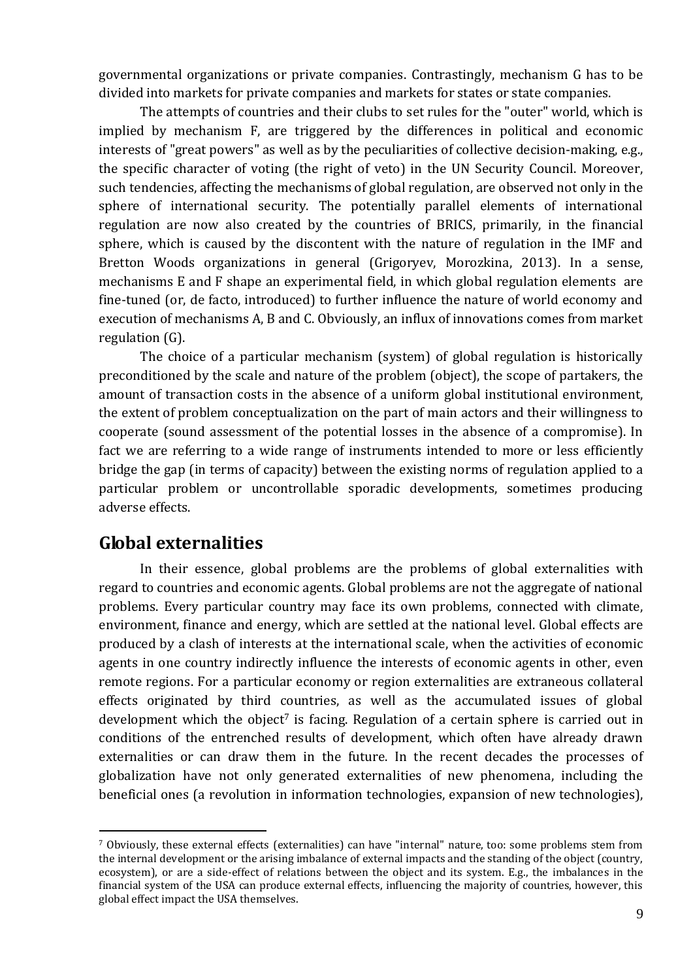governmental organizations or private companies. Contrastingly, mechanism G has to be divided into markets for private companies and markets for states or state companies.

The attempts of countries and their clubs to set rules for the "outer" world, which is implied by mechanism F, are triggered by the differences in political and economic interests of "great powers" as well as by the peculiarities of collective decision-making, e.g., the specific character of voting (the right of veto) in the UN Security Council. Moreover, such tendencies, affecting the mechanisms of global regulation, are observed not only in the sphere of international security. The potentially parallel elements of international regulation are now also created by the countries of BRICS, primarily, in the financial sphere, which is caused by the discontent with the nature of regulation in the IMF and Bretton Woods organizations in general (Grigoryev, Morozkina, 2013). In a sense, mechanisms E and F shape an experimental field, in which global regulation elements are fine-tuned (or, de facto, introduced) to further influence the nature of world economy and execution of mechanisms A, B and C. Obviously, an influx of innovations comes from market regulation (G).

The choice of a particular mechanism (system) of global regulation is historically preconditioned by the scale and nature of the problem (object), the scope of partakers, the amount of transaction costs in the absence of a uniform global institutional environment, the extent of problem conceptualization on the part of main actors and their willingness to cooperate (sound assessment of the potential losses in the absence of a compromise). In fact we are referring to a wide range of instruments intended to more or less efficiently bridge the gap (in terms of capacity) between the existing norms of regulation applied to a particular problem or uncontrollable sporadic developments, sometimes producing adverse effects.

## **Global externalities**

1

In their essence, global problems are the problems of global externalities with regard to countries and economic agents. Global problems are not the aggregate of national problems. Every particular country may face its own problems, connected with climate, environment, finance and energy, which are settled at the national level. Global effects are produced by a clash of interests at the international scale, when the activities of economic agents in one country indirectly influence the interests of economic agents in other, even remote regions. For a particular economy or region externalities are extraneous collateral effects originated by third countries, as well as the accumulated issues of global development which the object<sup>7</sup> is facing. Regulation of a certain sphere is carried out in conditions of the entrenched results of development, which often have already drawn externalities or can draw them in the future. In the recent decades the processes of globalization have not only generated externalities of new phenomena, including the beneficial ones (a revolution in information technologies, expansion of new technologies),

<sup>7</sup> Obviously, these external effects (externalities) can have "internal" nature, too: some problems stem from the internal development or the arising imbalance of external impacts and the standing of the object (country, ecosystem), or are a side-effect of relations between the object and its system. E.g., the imbalances in the financial system of the USA can produce external effects, influencing the majority of countries, however, this global effect impact the USA themselves.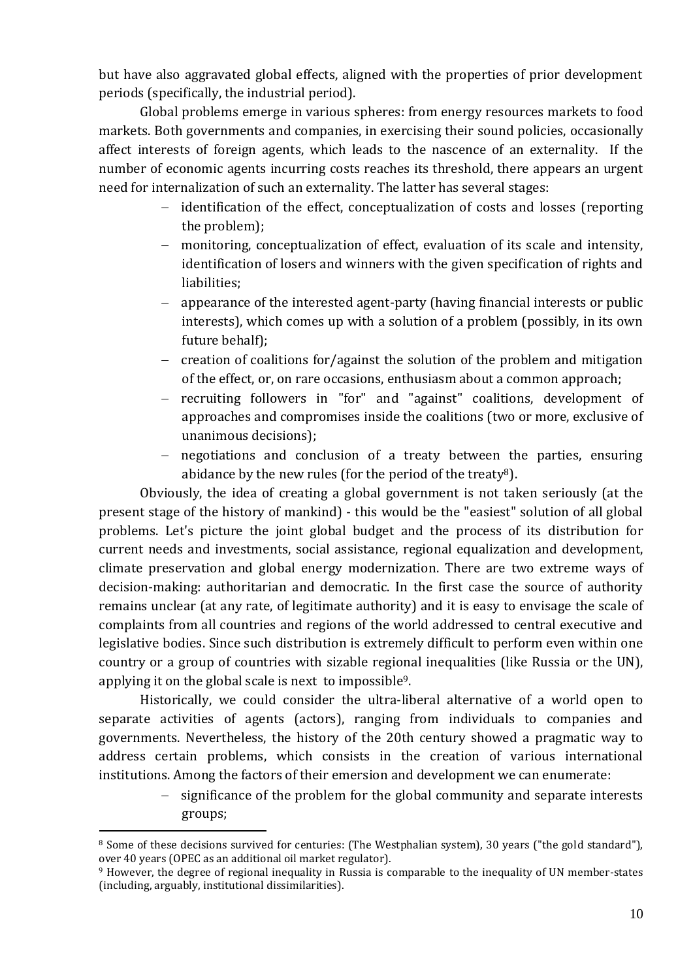but have also aggravated global effects, aligned with the properties of prior development periods (specifically, the industrial period).

Global problems emerge in various spheres: from energy resources markets to food markets. Both governments and companies, in exercising their sound policies, occasionally affect interests of foreign agents, which leads to the nascence of an externality. If the number of economic agents incurring costs reaches its threshold, there appears an urgent need for internalization of such an externality. The latter has several stages:

- identification of the effect, conceptualization of costs and losses (reporting the problem);
- monitoring, conceptualization of effect, evaluation of its scale and intensity, identification of losers and winners with the given specification of rights and liabilities;
- appearance of the interested agent-party (having financial interests or public interests), which comes up with a solution of a problem (possibly, in its own future behalf);
- creation of coalitions for/against the solution of the problem and mitigation of the effect, or, on rare occasions, enthusiasm about a common approach;
- recruiting followers in "for" and "against" coalitions, development of approaches and compromises inside the coalitions (two or more, exclusive of unanimous decisions);
- negotiations and conclusion of a treaty between the parties, ensuring abidance by the new rules (for the period of the treaty<sup>8</sup>).

Obviously, the idea of creating a global government is not taken seriously (at the present stage of the history of mankind) - this would be the "easiest" solution of all global problems. Let's picture the joint global budget and the process of its distribution for current needs and investments, social assistance, regional equalization and development, climate preservation and global energy modernization. There are two extreme ways of decision-making: authoritarian and democratic. In the first case the source of authority remains unclear (at any rate, of legitimate authority) and it is easy to envisage the scale of complaints from all countries and regions of the world addressed to central executive and legislative bodies. Since such distribution is extremely difficult to perform even within one country or a group of countries with sizable regional inequalities (like Russia or the UN), applying it on the global scale is next to impossible9.

Historically, we could consider the ultra-liberal alternative of a world open to separate activities of agents (actors), ranging from individuals to companies and governments. Nevertheless, the history of the 20th century showed a pragmatic way to address certain problems, which consists in the creation of various international institutions. Among the factors of their emersion and development we can enumerate:

> significance of the problem for the global community and separate interests groups;

<sup>&</sup>lt;sup>8</sup> Some of these decisions survived for centuries: (The Westphalian system), 30 years ("the gold standard"), over 40 years (OPEC as an additional oil market regulator).

<sup>9</sup> However, the degree of regional inequality in Russia is comparable to the inequality of UN member-states (including, arguably, institutional dissimilarities).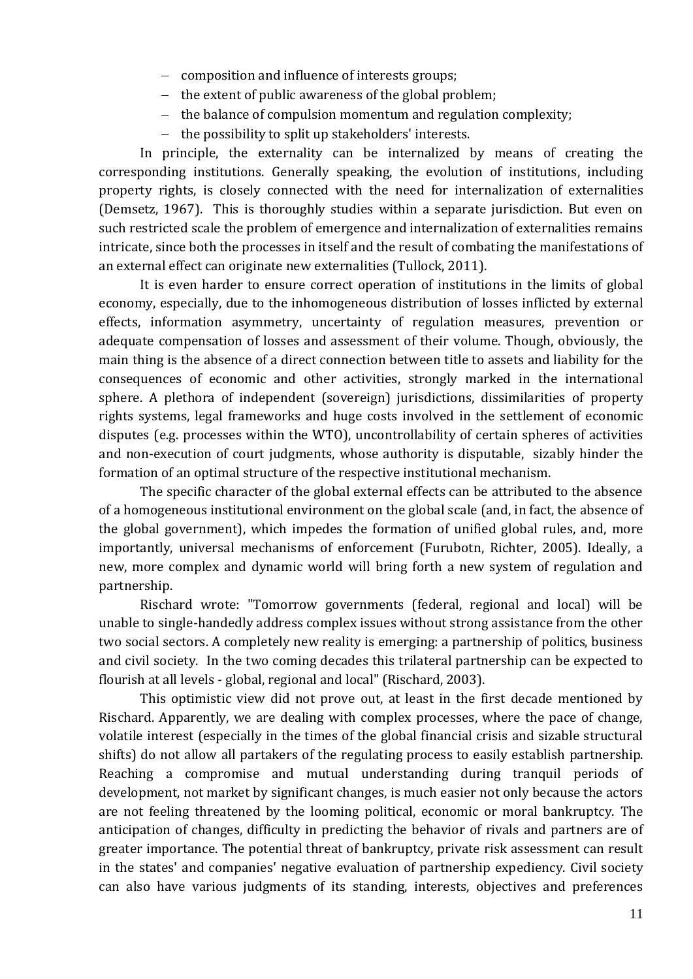- composition and influence of interests groups;
- $-$  the extent of public awareness of the global problem;
- $-$  the balance of compulsion momentum and regulation complexity;
- the possibility to split up stakeholders' interests.

In principle, the externality can be internalized by means of creating the corresponding institutions. Generally speaking, the evolution of institutions, including property rights, is closely connected with the need for internalization of externalities (Demsetz, 1967). This is thoroughly studies within a separate jurisdiction. But even on such restricted scale the problem of emergence and internalization of externalities remains intricate, since both the processes in itself and the result of combating the manifestations of an external effect can originate new externalities (Tullock, 2011).

It is even harder to ensure correct operation of institutions in the limits of global economy, especially, due to the inhomogeneous distribution of losses inflicted by external effects, information asymmetry, uncertainty of regulation measures, prevention or adequate compensation of losses and assessment of their volume. Though, obviously, the main thing is the absence of a direct connection between title to assets and liability for the consequences of economic and other activities, strongly marked in the international sphere. A plethora of independent (sovereign) jurisdictions, dissimilarities of property rights systems, legal frameworks and huge costs involved in the settlement of economic disputes (e.g. processes within the WTO), uncontrollability of certain spheres of activities and non-execution of court judgments, whose authority is disputable, sizably hinder the formation of an optimal structure of the respective institutional mechanism.

The specific character of the global external effects can be attributed to the absence of a homogeneous institutional environment on the global scale (and, in fact, the absence of the global government), which impedes the formation of unified global rules, and, more importantly, universal mechanisms of enforcement (Furubotn, Richter, 2005). Ideally, a new, more complex and dynamic world will bring forth a new system of regulation and partnership.

Rischard wrote: "Tomorrow governments (federal, regional and local) will be unable to single-handedly address complex issues without strong assistance from the other two social sectors. A completely new reality is emerging: a partnership of politics, business and civil society. In the two coming decades this trilateral partnership can be expected to flourish at all levels - global, regional and local" (Rischard, 2003).

This optimistic view did not prove out, at least in the first decade mentioned by Rischard. Apparently, we are dealing with complex processes, where the pace of change, volatile interest (especially in the times of the global financial crisis and sizable structural shifts) do not allow all partakers of the regulating process to easily establish partnership. Reaching a compromise and mutual understanding during tranquil periods of development, not market by significant changes, is much easier not only because the actors are not feeling threatened by the looming political, economic or moral bankruptcy. The anticipation of changes, difficulty in predicting the behavior of rivals and partners are of greater importance. The potential threat of bankruptcy, private risk assessment can result in the states' and companies' negative evaluation of partnership expediency. Civil society can also have various judgments of its standing, interests, objectives and preferences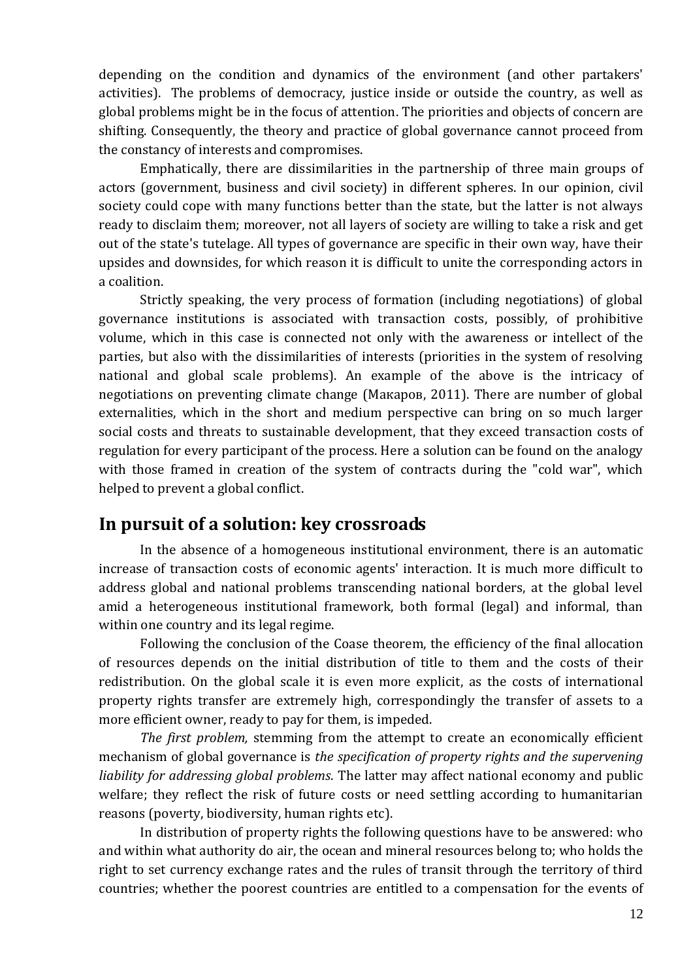depending on the condition and dynamics of the environment (and other partakers' activities). The problems of democracy, justice inside or outside the country, as well as global problems might be in the focus of attention. The priorities and objects of concern are shifting. Consequently, the theory and practice of global governance cannot proceed from the constancy of interests and compromises.

Emphatically, there are dissimilarities in the partnership of three main groups of actors (government, business and civil society) in different spheres. In our opinion, civil society could cope with many functions better than the state, but the latter is not always ready to disclaim them; moreover, not all layers of society are willing to take a risk and get out of the state's tutelage. All types of governance are specific in their own way, have their upsides and downsides, for which reason it is difficult to unite the corresponding actors in a coalition.

Strictly speaking, the very process of formation (including negotiations) of global governance institutions is associated with transaction costs, possibly, of prohibitive volume, which in this case is connected not only with the awareness or intellect of the parties, but also with the dissimilarities of interests (priorities in the system of resolving national and global scale problems). An example of the above is the intricacy of negotiations on preventing climate change (Макаров, 2011). There are number of global externalities, which in the short and medium perspective can bring on so much larger social costs and threats to sustainable development, that they exceed transaction costs of regulation for every participant of the process. Here a solution can be found on the analogy with those framed in creation of the system of contracts during the "cold war", which helped to prevent a global conflict.

## **In pursuit of a solution: key crossroads**

In the absence of a homogeneous institutional environment, there is an automatic increase of transaction costs of economic agents' interaction. It is much more difficult to address global and national problems transcending national borders, at the global level amid a heterogeneous institutional framework, both formal (legal) and informal, than within one country and its legal regime.

Following the conclusion of the Coase theorem, the efficiency of the final allocation of resources depends on the initial distribution of title to them and the costs of their redistribution. On the global scale it is even more explicit, as the costs of international property rights transfer are extremely high, correspondingly the transfer of assets to a more efficient owner, ready to pay for them, is impeded.

*The first problem,* stemming from the attempt to create an economically efficient mechanism of global governance is *the specification of property rights and the supervening liability for addressing global problems*. The latter may affect national economy and public welfare; they reflect the risk of future costs or need settling according to humanitarian reasons (poverty, biodiversity, human rights etc).

In distribution of property rights the following questions have to be answered: who and within what authority do air, the ocean and mineral resources belong to; who holds the right to set currency exchange rates and the rules of transit through the territory of third countries; whether the poorest countries are entitled to a compensation for the events of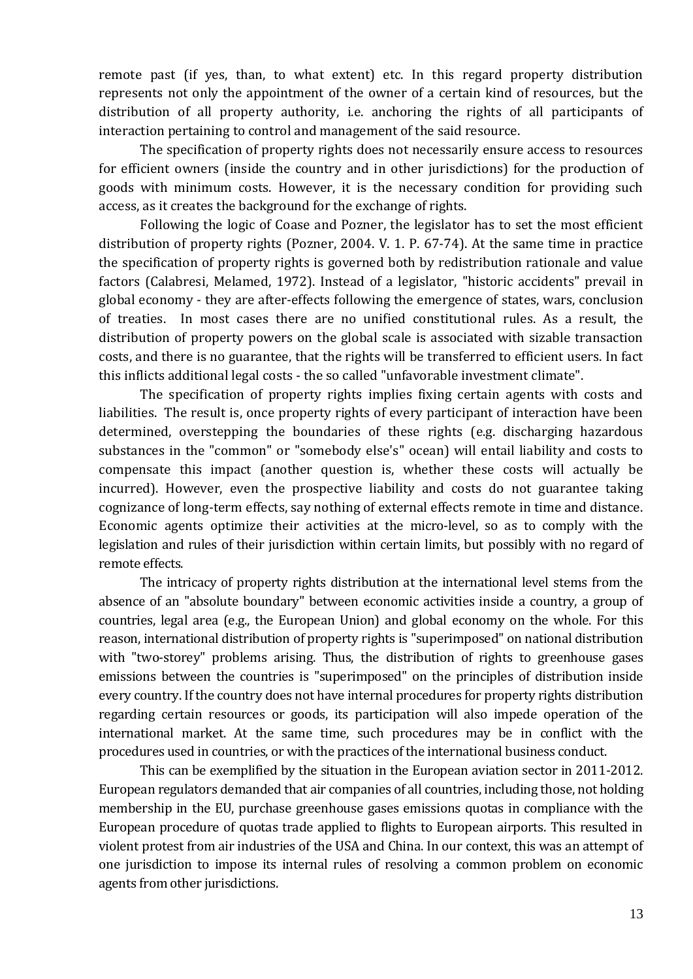remote past (if yes, than, to what extent) etc. In this regard property distribution represents not only the appointment of the owner of a certain kind of resources, but the distribution of all property authority, i.e. anchoring the rights of all participants of interaction pertaining to control and management of the said resource.

The specification of property rights does not necessarily ensure access to resources for efficient owners (inside the country and in other jurisdictions) for the production of goods with minimum costs. However, it is the necessary condition for providing such access, as it creates the background for the exchange of rights.

Following the logic of Coase and Pozner, the legislator has to set the most efficient distribution of property rights (Pozner, 2004. V. 1. P. 67-74). At the same time in practice the specification of property rights is governed both by redistribution rationale and value factors (Calabresi, Melamed, 1972). Instead of a legislator, "historic accidents" prevail in global economy - they are after-effects following the emergence of states, wars, conclusion of treaties. In most cases there are no unified constitutional rules. As a result, the distribution of property powers on the global scale is associated with sizable transaction costs, and there is no guarantee, that the rights will be transferred to efficient users. In fact this inflicts additional legal costs - the so called "unfavorable investment climate".

The specification of property rights implies fixing certain agents with costs and liabilities. The result is, once property rights of every participant of interaction have been determined, overstepping the boundaries of these rights (e.g. discharging hazardous substances in the "common" or "somebody else's" ocean) will entail liability and costs to compensate this impact (another question is, whether these costs will actually be incurred). However, even the prospective liability and costs do not guarantee taking cognizance of long-term effects, say nothing of external effects remote in time and distance. Economic agents optimize their activities at the micro-level, so as to comply with the legislation and rules of their jurisdiction within certain limits, but possibly with no regard of remote effects.

The intricacy of property rights distribution at the international level stems from the absence of an "absolute boundary" between economic activities inside a country, a group of countries, legal area (e.g., the European Union) and global economy on the whole. For this reason, international distribution of property rights is "superimposed" on national distribution with "two-storey" problems arising. Thus, the distribution of rights to greenhouse gases emissions between the countries is "superimposed" on the principles of distribution inside every country. If the country does not have internal procedures for property rights distribution regarding certain resources or goods, its participation will also impede operation of the international market. At the same time, such procedures may be in conflict with the procedures used in countries, or with the practices of the international business conduct.

This can be exemplified by the situation in the European aviation sector in 2011-2012. European regulators demanded that air companies of all countries, including those, not holding membership in the EU, purchase greenhouse gases emissions quotas in compliance with the European procedure of quotas trade applied to flights to European airports. This resulted in violent protest from air industries of the USA and China. In our context, this was an attempt of one jurisdiction to impose its internal rules of resolving a common problem on economic agents from other jurisdictions.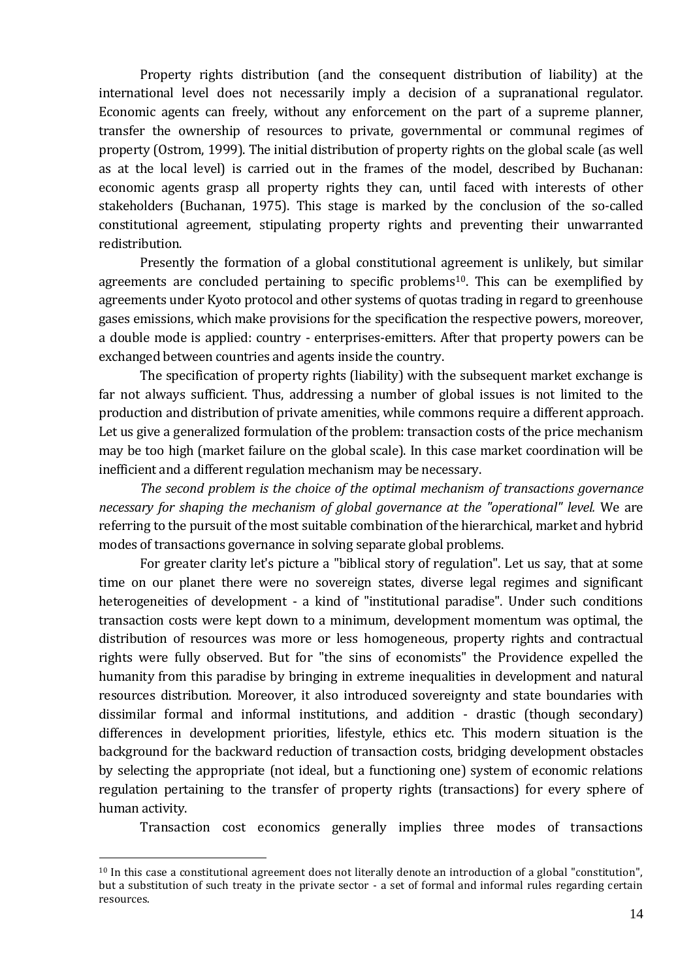Property rights distribution (and the consequent distribution of liability) at the international level does not necessarily imply a decision of a supranational regulator. Economic agents can freely, without any enforcement on the part of a supreme planner, transfer the ownership of resources to private, governmental or communal regimes of property (Ostrom, 1999). The initial distribution of property rights on the global scale (as well as at the local level) is carried out in the frames of the model, described by Buchanan: economic agents grasp all property rights they can, until faced with interests of other stakeholders (Buchanan, 1975). This stage is marked by the conclusion of the so-called constitutional agreement, stipulating property rights and preventing their unwarranted redistribution.

Presently the formation of a global constitutional agreement is unlikely, but similar agreements are concluded pertaining to specific problems<sup>10</sup>. This can be exemplified by agreements under Kyoto protocol and other systems of quotas trading in regard to greenhouse gases emissions, which make provisions for the specification the respective powers, moreover, a double mode is applied: country - enterprises-emitters. After that property powers can be exchanged between countries and agents inside the country.

The specification of property rights (liability) with the subsequent market exchange is far not always sufficient. Thus, addressing a number of global issues is not limited to the production and distribution of private amenities, while commons require a different approach. Let us give a generalized formulation of the problem: transaction costs of the price mechanism may be too high (market failure on the global scale). In this case market coordination will be inefficient and a different regulation mechanism may be necessary.

*The second problem is the choice of the optimal mechanism of transactions governance necessary for shaping the mechanism of global governance at the "operational" level.* We are referring to the pursuit of the most suitable combination of the hierarchical, market and hybrid modes of transactions governance in solving separate global problems.

For greater clarity let's picture a "biblical story of regulation". Let us say, that at some time on our planet there were no sovereign states, diverse legal regimes and significant heterogeneities of development - a kind of "institutional paradise". Under such conditions transaction costs were kept down to a minimum, development momentum was optimal, the distribution of resources was more or less homogeneous, property rights and contractual rights were fully observed. But for "the sins of economists" the Providence expelled the humanity from this paradise by bringing in extreme inequalities in development and natural resources distribution. Moreover, it also introduced sovereignty and state boundaries with dissimilar formal and informal institutions, and addition - drastic (though secondary) differences in development priorities, lifestyle, ethics etc. This modern situation is the background for the backward reduction of transaction costs, bridging development obstacles by selecting the appropriate (not ideal, but a functioning one) system of economic relations regulation pertaining to the transfer of property rights (transactions) for every sphere of human activity.

Transaction cost economics generally implies three modes of transactions

 $10$  In this case a constitutional agreement does not literally denote an introduction of a global "constitution", but a substitution of such treaty in the private sector - a set of formal and informal rules regarding certain resources.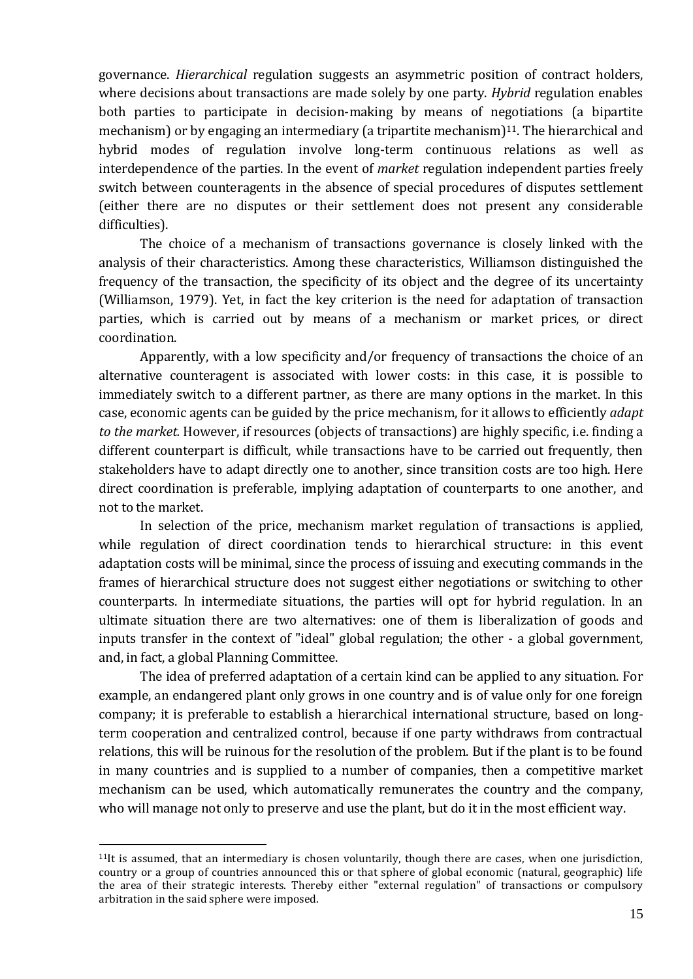governance. *Hierarchical* regulation suggests an asymmetric position of contract holders, where decisions about transactions are made solely by one party. *Hybrid* regulation enables both parties to participate in decision-making by means of negotiations (a bipartite mechanism) or by engaging an intermediary (a tripartite mechanism) $11$ . The hierarchical and hybrid modes of regulation involve long-term continuous relations as well as interdependence of the parties. In the event of *market* regulation independent parties freely switch between counteragents in the absence of special procedures of disputes settlement (either there are no disputes or their settlement does not present any considerable difficulties).

The choice of a mechanism of transactions governance is closely linked with the analysis of their characteristics. Among these characteristics, Williamson distinguished the frequency of the transaction, the specificity of its object and the degree of its uncertainty (Williamson, 1979). Yet, in fact the key criterion is the need for adaptation of transaction parties, which is carried out by means of a mechanism or market prices, or direct coordination.

Apparently, with a low specificity and/or frequency of transactions the choice of an alternative counteragent is associated with lower costs: in this case, it is possible to immediately switch to a different partner, as there are many options in the market. In this case, economic agents can be guided by the price mechanism, for it allows to efficiently *adapt to the market.* However, if resources (objects of transactions) are highly specific, i.e. finding a different counterpart is difficult, while transactions have to be carried out frequently, then stakeholders have to adapt directly one to another, since transition costs are too high. Here direct coordination is preferable, implying adaptation of counterparts to one another, and not to the market.

In selection of the price, mechanism market regulation of transactions is applied, while regulation of direct coordination tends to hierarchical structure: in this event adaptation costs will be minimal, since the process of issuing and executing commands in the frames of hierarchical structure does not suggest either negotiations or switching to other counterparts. In intermediate situations, the parties will opt for hybrid regulation. In an ultimate situation there are two alternatives: one of them is liberalization of goods and inputs transfer in the context of "ideal" global regulation; the other - a global government, and, in fact, a global Planning Committee.

The idea of preferred adaptation of a certain kind can be applied to any situation. For example, an endangered plant only grows in one country and is of value only for one foreign company; it is preferable to establish a hierarchical international structure, based on longterm cooperation and centralized control, because if one party withdraws from contractual relations, this will be ruinous for the resolution of the problem. But if the plant is to be found in many countries and is supplied to a number of companies, then a competitive market mechanism can be used, which automatically remunerates the country and the company, who will manage not only to preserve and use the plant, but do it in the most efficient way.

 $11$ It is assumed, that an intermediary is chosen voluntarily, though there are cases, when one jurisdiction, country or a group of countries announced this or that sphere of global economic (natural, geographic) life the area of their strategic interests. Thereby either "external regulation" of transactions or compulsory arbitration in the said sphere were imposed.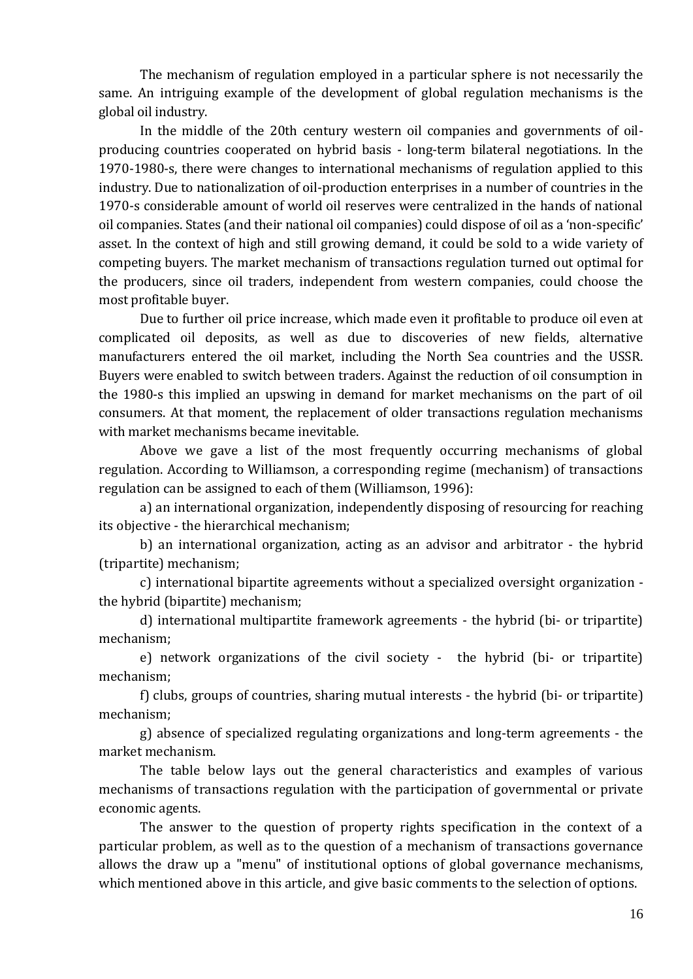The mechanism of regulation employed in a particular sphere is not necessarily the same. An intriguing example of the development of global regulation mechanisms is the global oil industry.

In the middle of the 20th century western oil companies and governments of oilproducing countries cooperated on hybrid basis - long-term bilateral negotiations. In the 1970-1980-s, there were changes to international mechanisms of regulation applied to this industry. Due to nationalization of oil-production enterprises in a number of countries in the 1970-s considerable amount of world oil reserves were centralized in the hands of national oil companies. States (and their national oil companies) could dispose of oil as a 'non-specific' asset. In the context of high and still growing demand, it could be sold to a wide variety of competing buyers. The market mechanism of transactions regulation turned out optimal for the producers, since oil traders, independent from western companies, could choose the most profitable buyer.

Due to further oil price increase, which made even it profitable to produce oil even at complicated oil deposits, as well as due to discoveries of new fields, alternative manufacturers entered the oil market, including the North Sea countries and the USSR. Buyers were enabled to switch between traders. Against the reduction of oil consumption in the 1980-s this implied an upswing in demand for market mechanisms on the part of oil consumers. At that moment, the replacement of older transactions regulation mechanisms with market mechanisms became inevitable.

Above we gave a list of the most frequently occurring mechanisms of global regulation. According to Williamson, a corresponding regime (mechanism) of transactions regulation can be assigned to each of them (Williamson, 1996):

a) an international organization, independently disposing of resourcing for reaching its objective - the hierarchical mechanism;

b) an international organization, acting as an advisor and arbitrator - the hybrid (tripartite) mechanism;

c) international bipartite agreements without a specialized oversight organization the hybrid (bipartite) mechanism;

d) international multipartite framework agreements - the hybrid (bi- or tripartite) mechanism;

e) network organizations of the civil society - the hybrid (bi- or tripartite) mechanism;

f) clubs, groups of countries, sharing mutual interests - the hybrid (bi- or tripartite) mechanism;

g) absence of specialized regulating organizations and long-term agreements - the market mechanism.

The table below lays out the general characteristics and examples of various mechanisms of transactions regulation with the participation of governmental or private economic agents.

The answer to the question of property rights specification in the context of a particular problem, as well as to the question of a mechanism of transactions governance allows the draw up a "menu" of institutional options of global governance mechanisms, which mentioned above in this article, and give basic comments to the selection of options.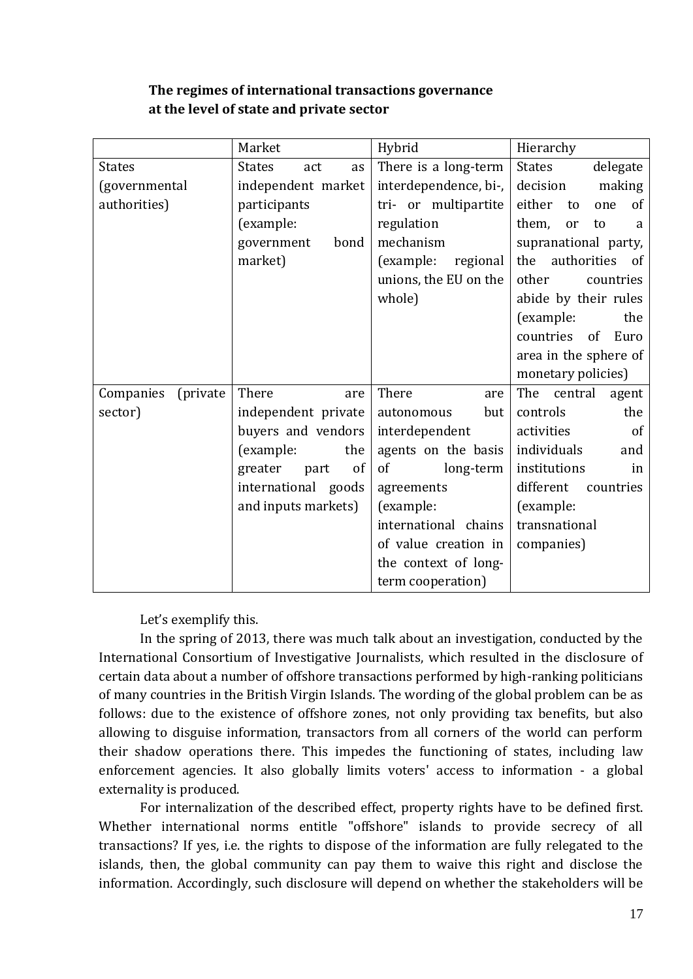| The regimes of international transactions governance |
|------------------------------------------------------|
| at the level of state and private sector             |

|                        | Market                     | Hybrid                | Hierarchy                 |
|------------------------|----------------------------|-----------------------|---------------------------|
| <b>States</b>          | <b>States</b><br>act<br>as | There is a long-term  | <b>States</b><br>delegate |
| (governmental          | independent market         | interdependence, bi-, | decision<br>making        |
| authorities)           | participants               | tri- or multipartite  | either<br>to<br>one<br>of |
|                        | (example:                  | regulation            | them,<br>or<br>to<br>a    |
|                        | government<br>bond         | mechanism             | supranational party,      |
|                        | market)                    | (example:<br>regional | authorities<br>the<br>of  |
|                        |                            | unions, the EU on the | other<br>countries        |
|                        |                            | whole)                | abide by their rules      |
|                        |                            |                       | (example:<br>the          |
|                        |                            |                       | countries<br>of<br>Euro   |
|                        |                            |                       | area in the sphere of     |
|                        |                            |                       | monetary policies)        |
| Companies<br>(private) | There<br>are               | There<br>are          | The<br>central<br>agent   |
| sector)                | independent private        | autonomous<br>but     | the<br>controls           |
|                        | buyers and vendors         | interdependent        | activities<br>of          |
|                        | (example:<br>the           | agents on the basis   | individuals<br>and        |
|                        | of<br>greater<br>part      | of<br>long-term       | institutions<br>in        |
|                        | international goods        | agreements            | different<br>countries    |
|                        | and inputs markets)        | (example:             | (example:                 |
|                        |                            | international chains  | transnational             |
|                        |                            | of value creation in  | companies)                |
|                        |                            | the context of long-  |                           |
|                        |                            | term cooperation)     |                           |

Let's exemplify this.

In the spring of 2013, there was much talk about an investigation, conducted by the International Consortium of Investigative Journalists, which resulted in the disclosure of certain data about a number of offshore transactions performed by high-ranking politicians of many countries in the British Virgin Islands. The wording of the global problem can be as follows: due to the existence of offshore zones, not only providing tax benefits, but also allowing to disguise information, transactors from all corners of the world can perform their shadow operations there. This impedes the functioning of states, including law enforcement agencies. It also globally limits voters' access to information - a global externality is produced.

For internalization of the described effect, property rights have to be defined first. Whether international norms entitle "offshore" islands to provide secrecy of all transactions? If yes, i.e. the rights to dispose of the information are fully relegated to the islands, then, the global community can pay them to waive this right and disclose the information. Accordingly, such disclosure will depend on whether the stakeholders will be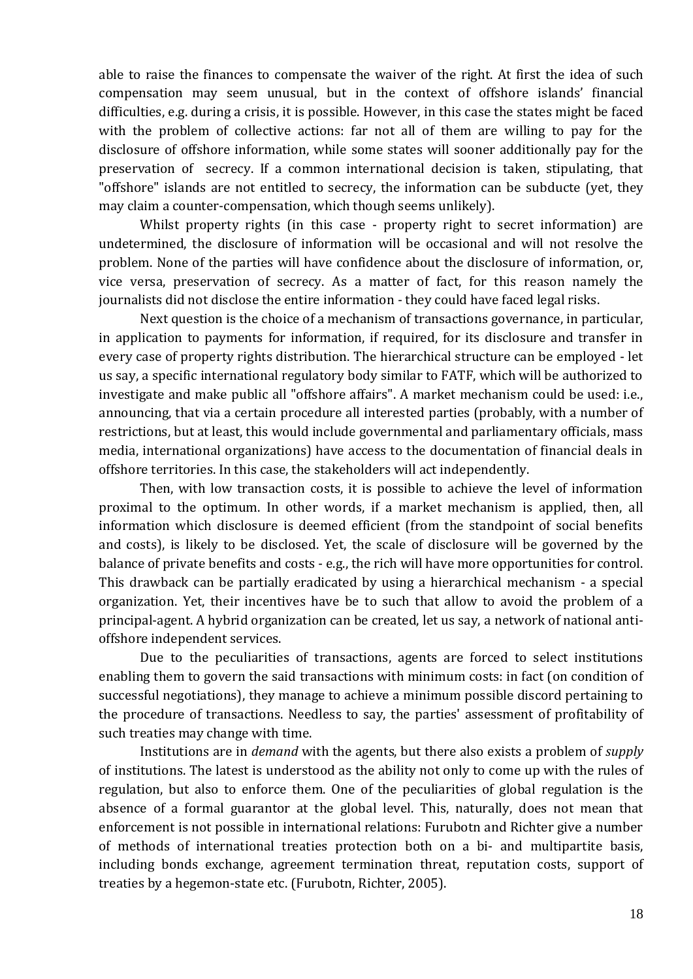able to raise the finances to compensate the waiver of the right. At first the idea of such compensation may seem unusual, but in the context of offshore islands' financial difficulties, e.g. during a crisis, it is possible. However, in this case the states might be faced with the problem of collective actions: far not all of them are willing to pay for the disclosure of offshore information, while some states will sooner additionally pay for the preservation of secrecy. If a common international decision is taken, stipulating, that "offshore" islands are not entitled to secrecy, the information can be subducte (yet, they may claim a counter-compensation, which though seems unlikely).

Whilst property rights (in this case - property right to secret information) are undetermined, the disclosure of information will be occasional and will not resolve the problem. None of the parties will have confidence about the disclosure of information, or, vice versa, preservation of secrecy. As a matter of fact, for this reason namely the journalists did not disclose the entire information - they could have faced legal risks.

Next question is the choice of a mechanism of transactions governance, in particular, in application to payments for information, if required, for its disclosure and transfer in every case of property rights distribution. The hierarchical structure can be employed - let us say, a specific international regulatory body similar to FATF, which will be authorized to investigate and make public all "offshore affairs". A market mechanism could be used: i.e., announcing, that via a certain procedure all interested parties (probably, with a number of restrictions, but at least, this would include governmental and parliamentary officials, mass media, international organizations) have access to the documentation of financial deals in offshore territories. In this case, the stakeholders will act independently.

Then, with low transaction costs, it is possible to achieve the level of information proximal to the optimum. In other words, if a market mechanism is applied, then, all information which disclosure is deemed efficient (from the standpoint of social benefits and costs), is likely to be disclosed. Yet, the scale of disclosure will be governed by the balance of private benefits and costs - e.g., the rich will have more opportunities for control. This drawback can be partially eradicated by using a hierarchical mechanism - a special organization. Yet, their incentives have be to such that allow to avoid the problem of a principal-agent. A hybrid organization can be created, let us say, a network of national antioffshore independent services.

Due to the peculiarities of transactions, agents are forced to select institutions enabling them to govern the said transactions with minimum costs: in fact (on condition of successful negotiations), they manage to achieve a minimum possible discord pertaining to the procedure of transactions. Needless to say, the parties' assessment of profitability of such treaties may change with time.

Institutions are in *demand* with the agents, but there also exists a problem of *supply* of institutions. The latest is understood as the ability not only to come up with the rules of regulation, but also to enforce them. One of the peculiarities of global regulation is the absence of a formal guarantor at the global level. This, naturally, does not mean that enforcement is not possible in international relations: Furubotn and Richter give a number of methods of international treaties protection both on a bi- and multipartite basis, including bonds exchange, agreement termination threat, reputation costs, support of treaties by a hegemon-state etc. (Furubotn, Richter, 2005).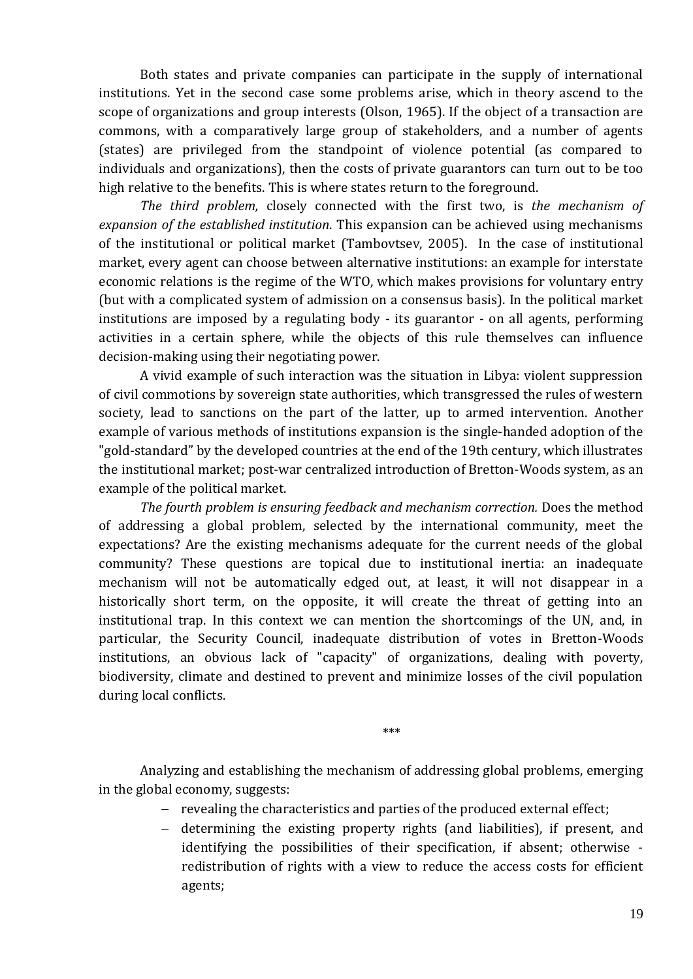Both states and private companies can participate in the supply of international institutions. Yet in the second case some problems arise, which in theory ascend to the scope of organizations and group interests (Olson, 1965). If the object of a transaction are commons, with a comparatively large group of stakeholders, and a number of agents (states) are privileged from the standpoint of violence potential (as compared to individuals and organizations), then the costs of private guarantors can turn out to be too high relative to the benefits. This is where states return to the foreground.

*The third problem,* closely connected with the first two, is *the mechanism of expansion of the established institution*. This expansion can be achieved using mechanisms of the institutional or political market (Tambovtsev, 2005). In the case of institutional market, every agent can choose between alternative institutions: an example for interstate economic relations is the regime of the WTO, which makes provisions for voluntary entry (but with a complicated system of admission on a consensus basis). In the political market institutions are imposed by a regulating body - its guarantor - on all agents, performing activities in a certain sphere, while the objects of this rule themselves can influence decision-making using their negotiating power.

A vivid example of such interaction was the situation in Libya: violent suppression of civil commotions by sovereign state authorities, which transgressed the rules of western society, lead to sanctions on the part of the latter, up to armed intervention. Another example of various methods of institutions expansion is the single-handed adoption of the "gold-standard" by the developed countries at the end of the 19th century, which illustrates the institutional market; post-war centralized introduction of Bretton-Woods system, as an example of the political market.

*The fourth problem is ensuring feedback and mechanism correction.* Does the method of addressing a global problem, selected by the international community, meet the expectations? Are the existing mechanisms adequate for the current needs of the global community? These questions are topical due to institutional inertia: an inadequate mechanism will not be automatically edged out, at least, it will not disappear in a historically short term, on the opposite, it will create the threat of getting into an institutional trap. In this context we can mention the shortcomings of the UN, and, in particular, the Security Council, inadequate distribution of votes in Bretton-Woods institutions, an obvious lack of "capacity" of organizations, dealing with poverty, biodiversity, climate and destined to prevent and minimize losses of the civil population during local conflicts.

\*\*\*

Analyzing and establishing the mechanism of addressing global problems, emerging in the global economy, suggests:

- revealing the characteristics and parties of the produced external effect:
- determining the existing property rights (and liabilities), if present, and identifying the possibilities of their specification, if absent; otherwise redistribution of rights with a view to reduce the access costs for efficient agents;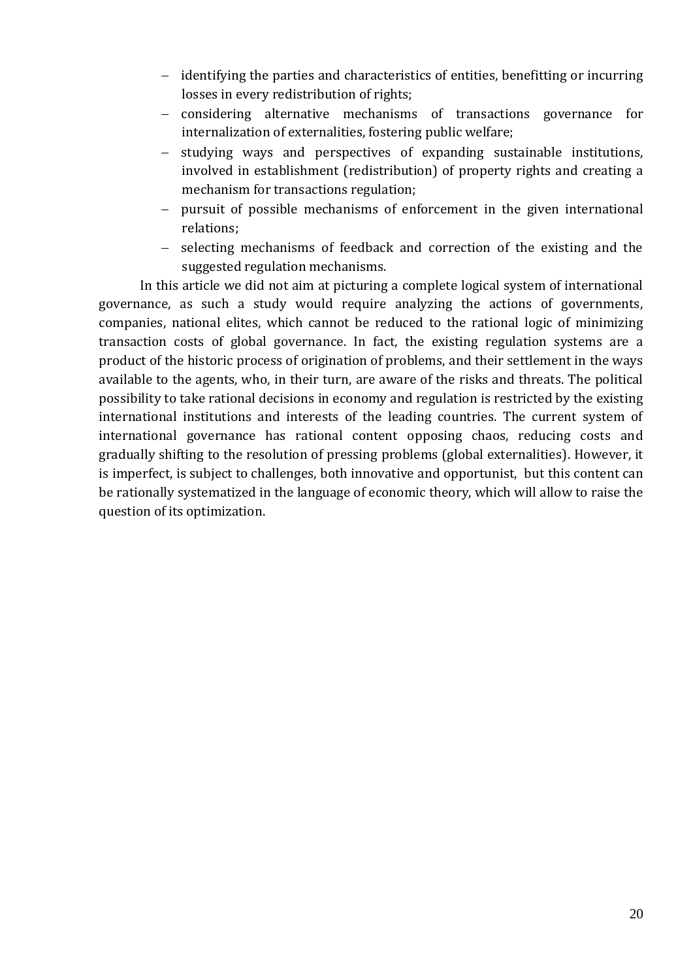- identifying the parties and characteristics of entities, benefitting or incurring losses in every redistribution of rights;
- considering alternative mechanisms of transactions governance for internalization of externalities, fostering public welfare;
- studying ways and perspectives of expanding sustainable institutions, involved in establishment (redistribution) of property rights and creating a mechanism for transactions regulation;
- pursuit of possible mechanisms of enforcement in the given international relations;
- selecting mechanisms of feedback and correction of the existing and the suggested regulation mechanisms.

In this article we did not aim at picturing a complete logical system of international governance, as such a study would require analyzing the actions of governments, companies, national elites, which cannot be reduced to the rational logic of minimizing transaction costs of global governance. In fact, the existing regulation systems are a product of the historic process of origination of problems, and their settlement in the ways available to the agents, who, in their turn, are aware of the risks and threats. The political possibility to take rational decisions in economy and regulation is restricted by the existing international institutions and interests of the leading countries. The current system of international governance has rational content opposing chaos, reducing costs and gradually shifting to the resolution of pressing problems (global externalities). However, it is imperfect, is subject to challenges, both innovative and opportunist, but this content can be rationally systematized in the language of economic theory, which will allow to raise the question of its optimization.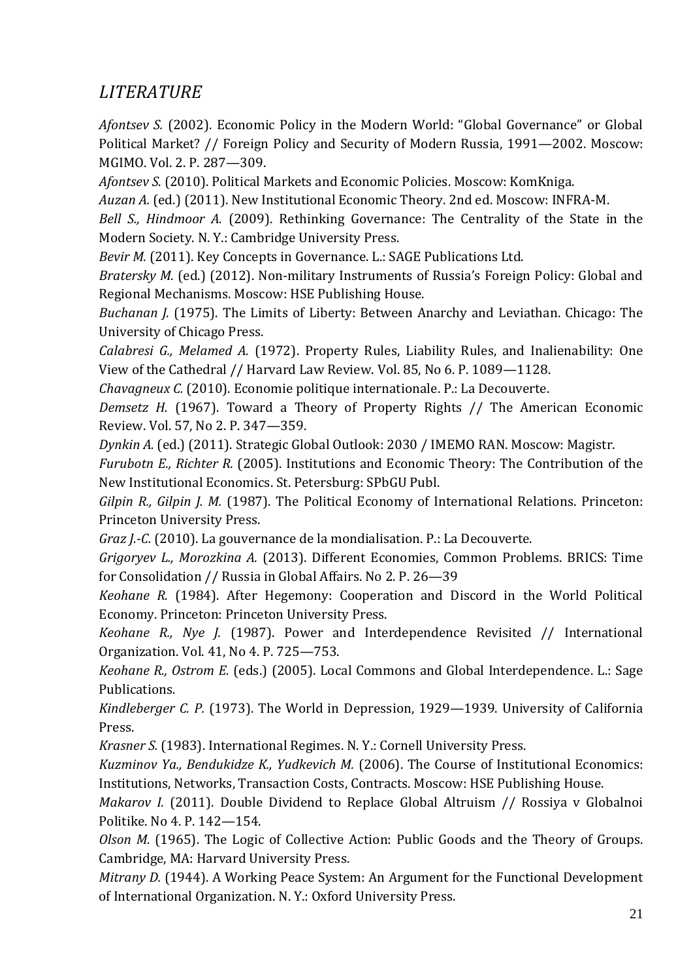# *LITERATURE*

*Afontsev S.* (2002). Economic Policy in the Modern World: "Global Governance" or Global Political Market? // Foreign Policy and Security of Modern Russia, 1991—2002. Moscow: MGIMO. Vol. 2. P. 287—309.

*Afontsev S*. (2010). Political Markets and Economic Policies. Moscow: KomKniga.

*Auzan A.* (ed.) (2011). New Institutional Economic Theory. 2nd ed. Moscow: INFRA-M.

*Bell S., Hindmoor A.* (2009). Rethinking Governance: The Centrality of the State in the Modern Society. N. Y.: Cambridge University Press.

*Bevir M.* (2011). Key Concepts in Governance. L.: SAGE Publications Ltd.

*Bratersky M.* (ed.) (2012). Non-military Instruments of Russia's Foreign Policy: Global and Regional Mechanisms. Moscow: HSE Publishing House.

*Buchanan J.* (1975). The Limits of Liberty: Between Anarchy and Leviathan. Chicago: The University of Chicago Press.

*Calabresi G., Melamed A.* (1972). Property Rules, Liability Rules, and Inalienability: One View of the Cathedral // Harvard Law Review. Vol. 85, No 6. P. 1089—1128.

*Chavagneux C.* (2010). Economie politique internationale. P.: La Decouverte.

*Demsetz H.* (1967). Toward a Theory of Property Rights // The American Economic Review. Vol. 57, No 2. P. 347—359.

*Dynkin A.* (ed.) (2011). Strategic Global Outlook: 2030 / IMEMO RAN. Moscow: Magistr.

*Furubotn E., Richter R.* (2005). Institutions and Economic Theory: The Contribution of the New Institutional Economics. St. Petersburg: SPbGU Publ.

*Gilpin R., Gilpin J. M.* (1987). The Political Economy of International Relations. Princeton: Princeton University Press.

*Graz J.-C.* (2010). La gouvernance de la mondialisation. P.: La Decouverte.

*Grigoryev L., Morozkina A.* (2013). Different Economies, Common Problems. BRICS: Time for Consolidation // Russia in Global Affairs. No 2. P. 26—39

*Keohane R.* (1984). After Hegemony: Cooperation and Discord in the World Political Economy. Princeton: Princeton University Press.

*Keohane R., Nye J.* (1987). Power and Interdependence Revisited // International Organization. Vol. 41, No 4. P. 725—753.

*Keohane R., Ostrom E.* (eds.) (2005). Local Commons and Global Interdependence. L.: Sage Publications.

*Kindleberger C. P.* (1973). The World in Depression, 1929—1939. University of California Press.

*Krasner S.* (1983). International Regimes. N. Y.: Cornell University Press.

*Kuzminov Ya., Bendukidze K., Yudkevich M.* (2006). The Course of Institutional Economics: Institutions, Networks, Transaction Costs, Contracts. Moscow: HSE Publishing House.

*Makarov I.* (2011). Double Dividend to Replace Global Altruism // Rossiya v Globalnoi Politike. No 4. P. 142—154.

*Olson M.* (1965). The Logic of Collective Action: Public Goods and the Theory of Groups. Cambridge, MA: Harvard University Press.

*Mitrany D.* (1944). A Working Peace System: An Argument for the Functional Development of International Organization. N. Y.: Oxford University Press.